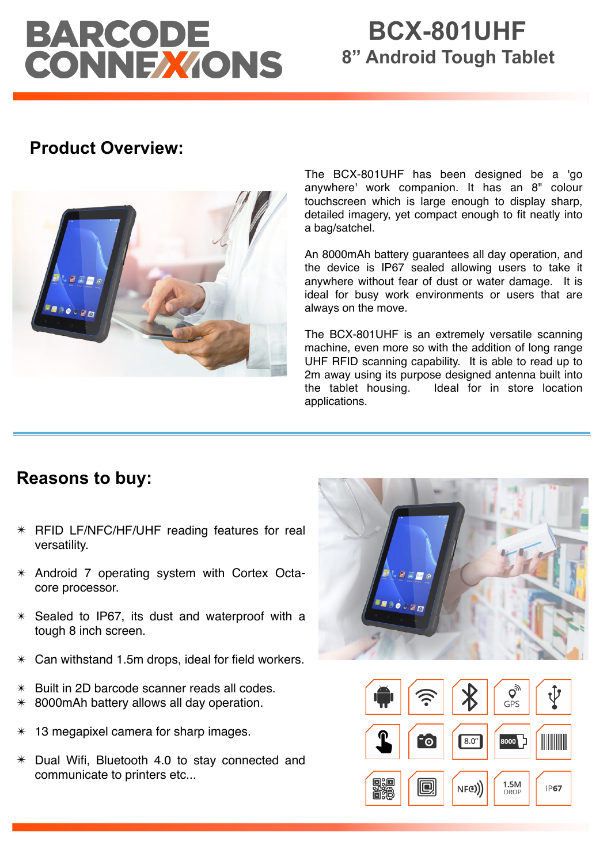# BARCODE<br>CONNEXIONS

# **BCX-801UHF 8" Android Tough Tablet**

## **Product Overview:**



The BCX-801UHF has been designed be a 'go anywhere' work companion. It has an 8" colour touchscreen which is large enough to display sharp, detailed imagery, yet compact enough to fit neatly into a bag/satchel.

An 8000mAh battery guarantees all day operation, and the device is IP67 sealed allowing users to take it anywhere without fear of dust or water damage. It is ideal for busy work environments or users that are always on the move.

The BCX-801UHF is an extremely versatile scanning machine, even more so with the addition of long range UHF RFID scanning capability. It is able to read up to 2m away using its purpose designed antenna built into the tablet housing. Ideal for in store location applications.

### **Reasons to buy:**

- ✴ RFID LF/NFC/HF/UHF reading features for real versatility.
- ✴ Android 7 operating system with Cortex Octacore processor.
- $*$  Sealed to IP67, its dust and waterproof with a tough 8 inch screen.
- $*$  Can withstand 1.5m drops, ideal for field workers.
- $*$  Built in 2D barcode scanner reads all codes.
- $*$  8000 mAh battery allows all day operation.
- 13 megapixel camera for sharp images.
- ✴ Dual Wifi, Bluetooth 4.0 to stay connected and communicate to printers etc...



DROF